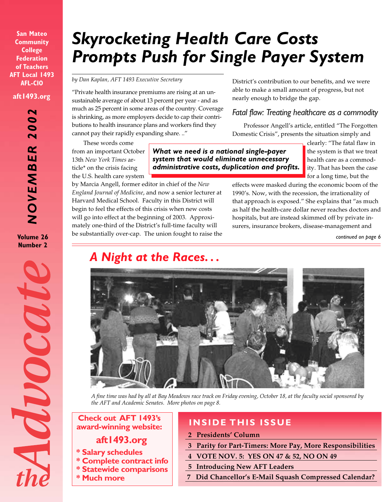**San Mateo Community College Federation of Teachers AFT Local 1493 AFL-CIO aft1493.org**

> *NOVEMBER 2002*  $\bullet$  $20<sub>0</sub>$ NOVEMBER

**Volume 26 Number 2**



# *Skyrocketing Health Care Costs Prompts Push for Single Payer System*

*by Dan Kaplan, AFT 1493 Executive Secretary*

"Private health insurance premiums are rising at an unsustainable average of about 13 percent per year - and as much as 25 percent in some areas of the country. Coverage is shrinking, as more employers decide to cap their contributions to health insurance plans and workers find they cannot pay their rapidly expanding share. .."

These words come from an important October 13th *New York Times* article\* on the crisis facing the U.S. health care system

*What we need is a national single-payer system that would eliminate unnecessary administrative costs, duplication and profits.*

District's contribution to our benefits, and we were able to make a small amount of progress, but not nearly enough to bridge the gap.

## *Fatal flaw: Treating healthcare as a commodity*

Professor Angell's article, entitled "The Forgotten Domestic Crisis", presents the situation simply and

> clearly: "The fatal flaw in the system is that we treat health care as a commodity. That has been the case for a long time, but the

by Marcia Angell, former editor in chief of the *New England Journal of Medicine*, and now a senior lecturer at Harvard Medical School. Faculty in this District will begin to feel the effects of this crisis when new costs will go into effect at the beginning of 2003. Approximately one-third of the District's full-time faculty will be substantially over-cap. The union fought to raise the

effects were masked during the economic boom of the 1990's. Now, with the recession, the irrationality of that approach is exposed." She explains that "as much as half the health-care dollar never reaches doctors and hospitals, but are instead skimmed off by private insurers, insurance brokers, disease-management and

*continued on page 6*

## *A Night at the Races. . .*



*A fine time was had by all at Bay Meadows race track on Friday evening, October 18, at the faculty social sponsored by the AFT and Academic Senates. More photos on page 8.*

## **Check out AFT 1493's award-winning website:**

## **aft1493.org**

- **\* Salary schedules**
- **\* Complete contract info**
- **\* Statewide comparisons**
- **\* Much more**

## **INSIDE THIS ISSUE**

- **2 Presidents' Column**
- **3 Parity for Part-Timers: More Pay, More Responsibilities**
- **4 VOTE NOV. 5: YES ON 47 & 52, NO ON 49**
- **5 Introducing New AFT Leaders**
- **7 Did Chancellor's E-Mail Squash Compressed Calendar?**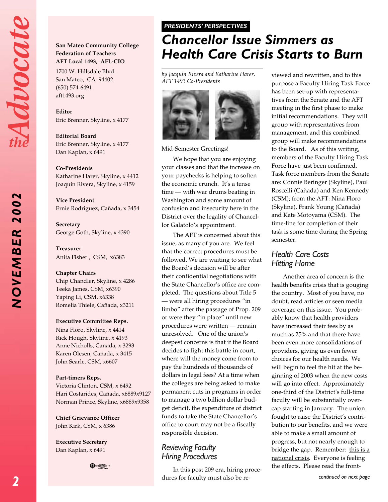# Advocat

#### **San Mateo Community College Federation of Teachers AFT Local 1493, AFL-CIO**

1700 W. Hillsdale Blvd. San Mateo, CA 94402 (650) 574-6491 aft1493.org

**Editor** Eric Brenner, Skyline, x 4177

**Editorial Board** Eric Brenner, Skyline, x 4177 Dan Kaplan, x 6491

#### **Co-Presidents**

Katharine Harer, Skyline, x 4412 Joaquin Rivera, Skyline, x 4159

**Vice President** Ernie Rodriguez, Cañada, x 3454

**Secretary** George Goth, Skyline, x 4390

**Treasurer** Anita Fisher , CSM, x6383

#### **Chapter Chairs**

Chip Chandler, Skyline, x 4286 Teeka James, CSM, x6390 Yaping Li, CSM, x6338 Romelia Thiele, Cañada, x3211

#### **Executive Committee Reps.**

Nina Floro, Skyline, x 4414 Rick Hough, Skyline, x 4193 Anne Nicholls, Cañada, x 3293 Karen Olesen, Cañada, x 3415 John Searle, CSM, x6607

#### **Part-timers Reps.**

Victoria Clinton, CSM, x 6492 Hari Costarides, Cañada, x6889x9127 Norman Prince, Skyline, x6889x9358

**Chief Grievance Officer** John Kirk, CSM, x 6386

**Executive Secretary** Dan Kaplan, x 6491



#### *PRESIDENTS' PERSPECTIVES PRESIDENTS' PERSPECTIVES*

# *Chancellor Issue Simmers as Health Care Crisis Starts to Burn*

*by Joaquin Rivera and Katharine Harer, AFT 1493 Co-Presidents*



Mid-Semester Greetings!

We hope that you are enjoying your classes and that the increase on your paychecks is helping to soften the economic crunch. It's a tense time — with war drums beating in Washington and some amount of confusion and insecurity here in the District over the legality of Chancellor Galatolo's appointment.

The AFT is concerned about this issue, as many of you are. We feel that the correct procedures must be followed. We are waiting to see what the Board's decision will be after their confidential negotiations with the State Chancellor's office are completed. The questions about Title 5 — were all hiring procedures "in limbo" after the passage of Prop. 209 or were they "in place" until new procedures were written — remain unresolved. One of the union's deepest concerns is that if the Board decides to fight this battle in court, where will the money come from to pay the hundreds of thousands of dollars in legal fees? At a time when the colleges are being asked to make permanent cuts in programs in order to manage a two billion dollar budget deficit, the expenditure of district funds to take the State Chancellor's office to court may not be a fiscally responsible decision.

## *Reviewing Faculty Hiring Procedures*

In this post 209 era, hiring procedures for faculty must also be reviewed and rewritten, and to this purpose a Faculty Hiring Task Force has been set-up with representatives from the Senate and the AFT meeting in the first phase to make initial recommendations. They will group with representatives from management, and this combined group will make recommendations to the Board. As of this writing, members of the Faculty Hiring Task Force have just been confirmed. Task force members from the Senate are: Connie Beringer (Skyline), Paul Roscelli (Cañada) and Ken Kennedy (CSM); from the AFT: Nina Floro (Skyline), Frank Young (Cañada) and Kate Motoyama (CSM). The time-line for completion of their task is some time during the Spring semester.

## *Health Care Costs Hitting Home*

Another area of concern is the health benefits crisis that is gouging the country. Most of you have, no doubt, read articles or seen media coverage on this issue. You probably know that health providers have increased their fees by as much as 25% and that there have been even more consolidations of providers, giving us even fewer choices for our health needs. We will begin to feel the hit at the beginning of 2003 when the new costs will go into effect. Approximately one-third of the District's full-time faculty will be substantially overcap starting in January. The union fought to raise the District's contribution to our benefits, and we were able to make a small amount of progress, but not nearly enough to bridge the gap. Remember: this is a national crisis**.** Everyone is feeling the effects. Please read the front-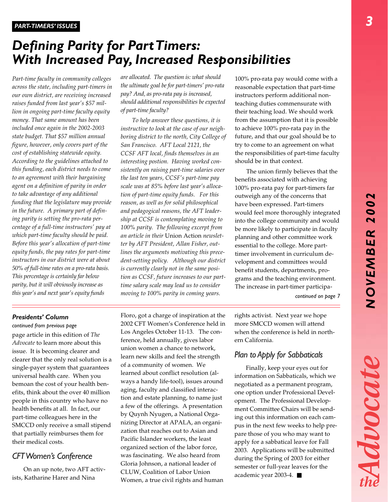Advocate

# *Defining Parity for Part Timers: With Increased Pay, Increased Responsibilities*

*Part-time faculty in community colleges across the state, including part-timers in our own district, are receiving increased raises funded from last year's \$57 million in ongoing part-time faculty equity money. That same amount has been included once again in the 2002-2003 state budget. That \$57 million annual figure, however, only covers part of the cost of establishing statewide equity. According to the guidelines attached to this funding, each district needs to come to an agreement with their bargaining agent on a definition of parity in order to take advantage of any additional funding that the legislature may provide in the future. A primary part of defining parity is setting the pro-rata percentage of a full-time instructors' pay at which part-time faculty should be paid. Before this year's allocation of part-time equity funds, the pay rates for part-time instructors in our district were at about 50% of full-time rates on a pro-rata basis. This percentage is certainly far below parity, but it will obviously increase as this year's and next year's equity funds*

*are allocated. The question is: what should the ultimate goal be for part-timers' pro-rata pay? And, as pro-rata pay is increased, should additional responsibilities be expected of part-time faculty?*

*To help answer these questions, it is instructive to look at the case of our neighboring district to the north, City College of San Francisco. AFT Local 2121, the CCSF AFT local, finds themselves in an interesting postion. Having worked consistently on raising part-time salaries over the last ten years, CCSF's part-time pay scale was at 85% before last year's allocation of part-time equity funds. For this reason, as well as for solid philosophical and pedagogical reasons, the AFT leadership at CCSF is contemplating moving to 100% parity. The following excerpt from an article in their* Union Action *newsletter by AFT President, Allan Fisher, outlines the arguments motivating this precedent-setting policy. Although our district is currently clearly not in the same position as CCSF, future increases to our parttime salary scale may lead us to consider moving to 100% parity in coming years.*

100% pro-rata pay would come with a reasonable expectation that part-time instructors perform additional nonteaching duties commensurate with their teaching load. We should work from the assumption that it is possible to achieve 100% pro-rata pay in the future, and that our goal should be to try to come to an agreement on what the responsibilities of part-time faculty should be in that context.

The union firmly believes that the benefits associated with achieving 100% pro-rata pay for part-timers far outweigh any of the concerns that have been expressed. Part-timers would feel more thoroughly integrated into the college community and would be more likely to participate in faculty planning and other committee work essential to the college. More parttimer involvement in curriculum development and committees would benefit students, departments, programs and the teaching environment. The increase in part-timer participa-

*continued on page 7*

#### *Presidents' Column*

page article in this edition of *The Advocate* to learn more about this issue. It is becoming clearer and clearer that the only real solution is a single-payer system that guarantees universal health care. When you bemoan the cost of your health benefits, think about the over 40 million people in this country who have no health benefits at all. In fact, our part-time colleagues here in the SMCCD only receive a small stipend that partially reimburses them for their medical costs. *continued from previous page*

## *CFT Women's Conference*

On an up note, two AFT activists, Katharine Harer and Nina

Floro, got a charge of inspiration at the 2002 CFT Women's Conference held in Los Angeles October 11-13. The conference, held annually, gives labor union women a chance to network, learn new skills and feel the strength of a community of women. We learned about conflict resolution (always a handy life-tool), issues around aging, faculty and classified interaction and estate planning, to name just a few of the offerings. A presentation by Quynh Nyugen, a National Organizing Director at APALA, an organization that reaches out to Asian and Pacific Islander workers, the least organized section of the labor force, was fascinating. We also heard from Gloria Johnson, a national leader of CLUW, Coalition of Labor Union Women, a true civil rights and human

rights activist. Next year we hope more SMCCD women will attend when the conference is held in northern California.

## *Plan to Apply for Sabbaticals*

Finally, keep your eyes out for information on Sabbaticals, which we negotiated as a permanent program, one option under Professional Development. The Professional Development Committee Chairs will be sending out this information on each campus in the next few weeks to help prepare those of you who may want to apply for a sabbatical leave for Fall 2003. Applications will be submitted during the Spring of 2003 for either semester or full-year leaves for the academic year 2003-4. ■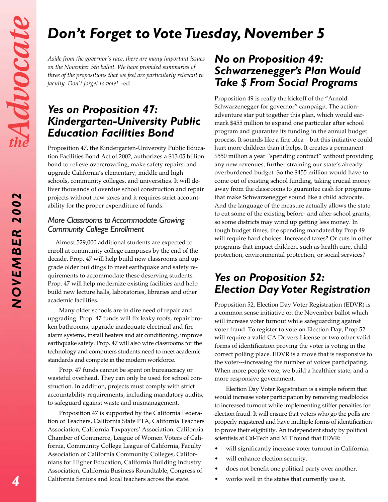*NOVEMBER 2002*

NOVEMBER

200

# *Don't Forget to Vote Tuesday, November 5*

*Aside from the governor's race, there are many important issues on the November 5th ballot. We have provided summaries of three of the propositions that we feel are particularly relevant to faculty. Don't forget to vote!* -ed.

## *Yes on Proposition 47: Kindergarten-University Public Education Facilities Bond*

Proposition 47, the Kindergarten-University Public Education Facilities Bond Act of 2002, authorizes a \$13.05 billion bond to relieve overcrowding, make safety repairs, and upgrade California's elementary, middle and high schools, community colleges, and universities. It will deliver thousands of overdue school construction and repair projects without new taxes and it requires strict accountability for the proper expenditure of funds.

## *More Classrooms to Accommodate Growing Community College Enrollment*

 Almost 529,000 additional students are expected to enroll at community college campuses by the end of the decade. Prop. 47 will help build new classrooms and upgrade older buildings to meet earthquake and safety requirements to accommodate these deserving students. Prop. 47 will help modernize existing facilities and help build new lecture halls, laboratories, libraries and other academic facilities.

Many older schools are in dire need of repair and upgrading. Prop. 47 funds will fix leaky roofs, repair broken bathrooms, upgrade inadequate electrical and fire alarm systems, install heaters and air conditioning, improve earthquake safety. Prop. 47 will also wire classrooms for the technology and computers students need to meet academic standards and compete in the modern workforce.

Prop. 47 funds cannot be spent on bureaucracy or wasteful overhead. They can only be used for school construction. In addition, projects must comply with strict accountability requirements, including mandatory audits, to safeguard against waste and mismanagement.

Proposition 47 is supported by the California Federation of Teachers, California State PTA, California Teachers Association, California Taxpayers' Association, California Chamber of Commerce, League of Women Voters of California, Community College League of California, Faculty Association of California Community Colleges, Californians for Higher Education, California Building Industry Association, California Business Roundtable, Congress of California Seniors and local teachers across the state.

## *No on Proposition 49: Schwarzenegger's Plan Would Take \$ From Social Programs*

Proposition 49 is really the kickoff of the "Arnold Schwarzenegger for governor" campaign. The actionadventure star put together this plan, which would earmark \$455 million to expand one particular after school program and guarantee its funding in the annual budget process. It sounds like a fine idea – but this initiative could hurt more children than it helps. It creates a permanent \$550 million a year "spending contract" without providing any new revenues, further straining our state's already overburdened budget. So the \$455 million would have to come out of existing school funding, taking crucial money away from the classrooms to guarantee cash for programs that make Schwarzenegger sound like a child advocate. And the language of the measure actually allows the state to cut some of the existing before- and after-school grants, so some districts may wind up getting less money. In tough budget times, the spending mandated by Prop 49 will require hard choices: Increased taxes? Or cuts in other programs that impact children, such as health care, child protection, environmental protection, or social services?

## *Yes on Proposition 52: Election Day Voter Registration*

Proposition 52, Election Day Voter Registration (EDVR) is a common sense initiative on the November ballot which will increase voter turnout while safeguarding against voter fraud. To register to vote on Election Day, Prop 52 will require a valid CA Drivers License or two other valid forms of identification proving the voter is voting in the correct polling place. EDVR is a move that is responsive to the voter---increasing the number of voices participating. When more people vote, we build a healthier state, and a more responsive government.

Election Day Voter Registration is a simple reform that would increase voter participation by removing roadblocks to increased turnout while implementing stiffer penalties for election fraud. It will ensure that voters who go the polls are properly registered and have multiple forms of identification to prove their eligibility. An independent study by political scientists at Cal-Tech and MIT found that EDVR:

- will significantly increase voter turnout in California.
- will enhance election security.
- does not benefit one political party over another.
- works well in the states that currently use it.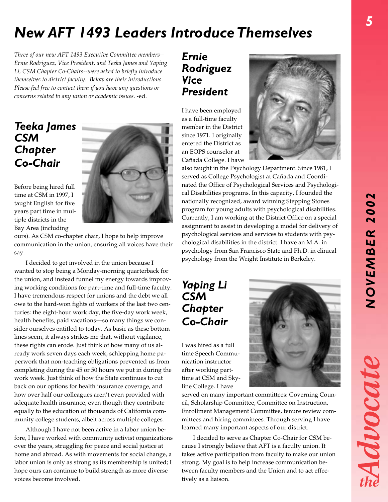# *New AFT 1493 Leaders Introduce Themselves*

*Three of our new AFT 1493 Executive Committee members-- Ernie Rodriguez, Vice President, and Teeka James and Yaping Li, CSM Chapter Co-Chairs--were asked to briefly introduce themselves to district faculty. Below are their introductions. Please feel free to contact them if you have any questions or concerns related to any union or academic issues.* -ed.

## *Teeka James CSM Chapter Co-Chair*

Before being hired full time at CSM in 1997, I taught English for five years part time in multiple districts in the Bay Area (including

ours). As CSM co-chapter chair, I hope to help improve communication in the union, ensuring all voices have their say.

I decided to get involved in the union because I wanted to stop being a Monday-morning quarterback for the union, and instead funnel my energy towards improving working conditions for part-time and full-time faculty. I have tremendous respect for unions and the debt we all owe to the hard-won fights of workers of the last two centuries: the eight-hour work day, the five-day work week, health benefits, paid vacations---so many things we consider ourselves entitled to today. As basic as these bottom lines seem, it always strikes me that, without vigilance, these rights can erode. Just think of how many of us already work seven days each week, schlepping home paperwork that non-teaching obligations prevented us from completing during the 45 or 50 hours we put in during the work week. Just think of how the State continues to cut back on our options for health insurance coverage, and how over half our colleagues aren't even provided with adequate health insurance, even though they contribute equally to the education of thousands of California community college students, albeit across multiple colleges.

Although I have not been active in a labor union before, I have worked with community activist organizations over the years, struggling for peace and social justice at home and abroad. As with movements for social change, a labor union is only as strong as its membership is united; I hope ours can continue to build strength as more diverse voices become involved.

## *Ernie Rodriguez Vice President*

I have been employed as a full-time faculty member in the District since 1971. I originally entered the District as an EOPS counselor at Cañada College. I have



also taught in the Psychology Department. Since 1981, I served as College Psychologist at Cañada and Coordinated the Office of Psychological Services and Psychological Disabilities programs. In this capacity, I founded the nationally recognized, award winning Stepping Stones program for young adults with psychological disabilities. Currently, I am working at the District Office on a special assignment to assist in developing a model for delivery of psychological services and services to students with psychological disabilities in the district. I have an M.A. in psychology from San Francisco State and Ph.D. in clinical psychology from the Wright Institute in Berkeley.

## *Yaping Li CSM Chapter Co-Chair*

I was hired as a full time Speech Communication instructor after working parttime at CSM and Skyline College. I have



served on many important committees: Governing Council, Scholarship Committee, Committee on Instruction, Enrollment Management Committee, tenure review committees and hiring committees. Through serving I have learned many important aspects of our district.

I decided to serve as Chapter Co-Chair for CSM because I strongly believe that AFT is a faculty union. It takes active participation from faculty to make our union strong. My goal is to help increase communication between faculty members and the Union and to act effectively as a liaison.

Lavoca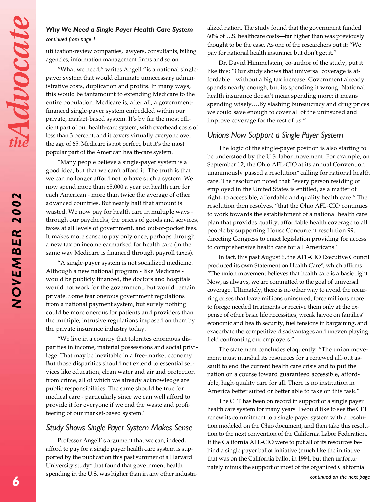*NOVEMBER 2002*

NOVEMBER 200

## *Why We Need a Single Payer Health Care System*

#### *continued from page 1*

utilization-review companies, lawyers, consultants, billing agencies, information management firms and so on.

"What we need," writes Angell "is a national singlepayer system that would eliminate unnecessary administrative costs, duplication and profits. In many ways, this would be tantamount to extending Medicare to the entire population. Medicare is, after all, a governmentfinanced single-payer system embedded within our private, market-based system. It's by far the most efficient part of our health-care system, with overhead costs of less than 3 percent, and it covers virtually everyone over the age of 65. Medicare is not perfect, but it's the most popular part of the American health-care system.

"Many people believe a single-payer system is a good idea, but that we can't afford it. The truth is that we can no longer afford not to have such a system. We now spend more than \$5,000 a year on health care for each American - more than twice the average of other advanced countries. But nearly half that amount is wasted. We now pay for health care in multiple ways through our paychecks, the prices of goods and services, taxes at all levels of government, and out-of-pocket fees. It makes more sense to pay only once, perhaps through a new tax on income earmarked for health care (in the same way Medicare is financed through payroll taxes).

"A single-payer system is not socialized medicine. Although a new national program - like Medicare would be publicly financed, the doctors and hospitals would not work for the government, but would remain private. Some fear onerous government regulations from a national payment system, but surely nothing could be more onerous for patients and providers than the multiple, intrusive regulations imposed on them by the private insurance industry today.

"We live in a country that tolerates enormous disparities in income, material possessions and social privilege. That may be inevitable in a free-market economy. But those disparities should not extend to essential services like education, clean water and air and protection from crime, all of which we already acknowledge are public responsibilities. The same should be true for medical care - particularly since we can well afford to provide it for everyone if we end the waste and profiteering of our market-based system."

## *Study Shows Single Payer System Makes Sense*

Professor Angell' s argument that we can, indeed, afford to pay for a single payer health care system is supported by the publication this past summer of a Harvard University study\* that found that government health spending in the U.S. was higher than in any other industri-

alized nation. The study found that the government funded 60% of U.S. healthcare costs—far higher than was previously thought to be the case. As one of the researchers put it: "We pay for national health insurance but don't get it."

Dr. David Himmelstein, co-author of the study, put it like this: "Our study shows that universal coverage is affordable—without a big tax increase. Government already spends nearly enough, but its spending it wrong. National health insurance doesn't mean spending more; it means spending wisely….By slashing bureaucracy and drug prices we could save enough to cover all of the uninsured and improve coverage for the rest of us."

## *Unions Now Support a Single Payer System*

The logic of the single-payer position is also starting to be understood by the U.S. labor movement. For example, on September 12, the Ohio AFL-CIO at its annual Convention unanimously passed a resolution\* calling for national health care. The resolution noted that "every person residing or employed in the United States is entitled, as a matter of right, to accessible, affordable and quality health care." The resolution then resolves, "that the Ohio AFL-CIO continues to work towards the establishment of a national health care plan that provides quality, affordable health coverage to all people by supporting House Concurrent resolution 99, directing Congress to enact legislation providing for access to comprehensive health care for all Americans."

In fact, this past August 6, the AFL-CIO Executive Council produced its own Statement on Health Care\*, which affirms: "The union movement believes that health care is a basic right. Now, as always, we are committed to the goal of universal coverage. Ultimately, there is no other way to avoid the recurring crises that leave millions uninsured, force millions more to forego needed treatments or receive them only at the expense of other basic life necessities, wreak havoc on families' economic and health security, fuel tensions in bargaining, and exacerbate the competitive disadvantages and uneven playing field confronting our employers."

The statement concludes eloquently: "The union movement must marshal its resources for a renewed all-out assault to end the current health care crisis and to put the nation on a course toward guaranteed accessible, affordable, high-quality care for all. There is no institution in America better suited or better able to take on this task."

The CFT has been on record in support of a single payer health care system for many years. I would like to see the CFT renew its commitment to a single payer system with a resolution modeled on the Ohio document, and then take this resolution to the next convention of the California Labor Federation. If the California AFL-CIO were to put all of its resources behind a single payer ballot initiative (much like the initiative that was on the California ballot in 1994, but then unfortunately minus the support of most of the organized California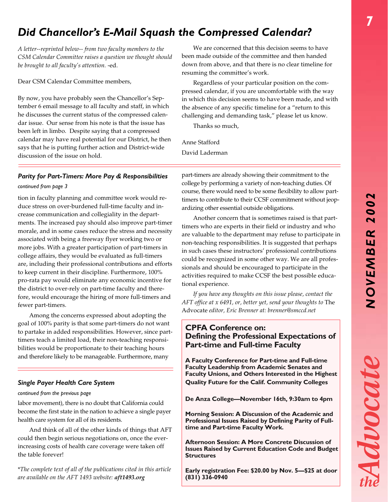Advocat

## *Did Chancellor's E-Mail Squash the Compressed Calendar?*

*A letter--reprinted below-- from two faculty members to the CSM Calendar Committee raises a question we thought should be brought to all faculty's attention.* -ed.

Dear CSM Calendar Committee members,

By now, you have probably seen the Chancellor's September 6 email message to all faculty and staff, in which he discusses the current status of the compressed calendar issue. Our sense from his note is that the issue has been left in limbo. Despite saying that a compressed calendar may have real potential for our District, he then says that he is putting further action and District-wide discussion of the issue on hold.

*Parity for Part-Timers: More Pay & Responsibilities continued from page 3*

tion in faculty planning and committee work would reduce stress on over-burdened full-time faculty and increase communication and collegiality in the departments. The increased pay should also improve part-timer morale, and in some cases reduce the stress and necessity associated with being a freeway flyer working two or more jobs. With a greater participation of part-timers in college affairs, they would be evaluated as full-timers are, including their professional contributions and efforts to keep current in their discipline. Furthermore, 100% pro-rata pay would eliminate any economic incentive for the district to over-rely on part-time faculty and therefore, would encourage the hiring of more full-timers and fewer part-timers.

Among the concerns expressed about adopting the goal of 100% parity is that some part-timers do not want to partake in added responsibilities. However, since parttimers teach a limited load, their non-teaching responsibilities would be proportionate to their teaching hours and therefore likely to be manageable. Furthermore, many

#### *Single Payer Health Care System*

#### *continued from the previous page*

labor movement), there is no doubt that California could become the first state in the nation to achieve a single payer health care system for all of its residents.

And think of all of the other kinds of things that AFT could then begin serious negotiations on, once the everincreasing costs of health care coverage were taken off the table forever!

\**The complete text of all of the publications cited in this article are available on the AFT 1493 website: aft1493.org*

We are concerned that this decision seems to have been made outside of the committee and then handed down from above, and that there is no clear timeline for resuming the committee's work.

Regardless of your particular position on the compressed calendar, if you are uncomfortable with the way in which this decision seems to have been made, and with the absence of any specific timeline for a "return to this challenging and demanding task," please let us know.

Thanks so much,

Anne Stafford David Laderman

part-timers are already showing their commitment to the college by performing a variety of non-teaching duties. Of course, there would need to be some flexibility to allow parttimers to contribute to their CCSF commitment without jeopardizing other essential outside obligations.

Another concern that is sometimes raised is that parttimers who are experts in their field or industry and who are valuable to the department may refuse to participate in non-teaching responsibilities. It is suggested that perhaps in such cases these instructors' professional contributions could be recognized in some other way. We are all professionals and should be encouraged to participate in the activities required to make CCSF the best possible educational experience.

*If you have any thoughts on this issue please, contact the AFT office at x 6491, or, better yet, send your thoughts to* The Advocate *editor, Eric Brenner at: brenner@smccd.net*

#### **CPFA Conference on: Defining the Professional Expectations of Part-time and Full-time Faculty**

**A Faculty Conference for Part-time and Full-time Faculty Leadership from Academic Senates and Faculty Unions, and Others Interested in the Highest Quality Future for the Calif. Community Colleges**

**De Anza College—November 16th, 9:30am to 4pm**

**Morning Session: A Discussion of the Academic and Professional Issues Raised by Defining Parity of Fulltime and Part-time Faculty Work.**

**Afternoon Session: A More Concrete Discussion of Issues Raised by Current Education Code and Budget Structures**

**Early registration Fee: \$20.00 by Nov. 5—\$25 at door (831) 336-0940**